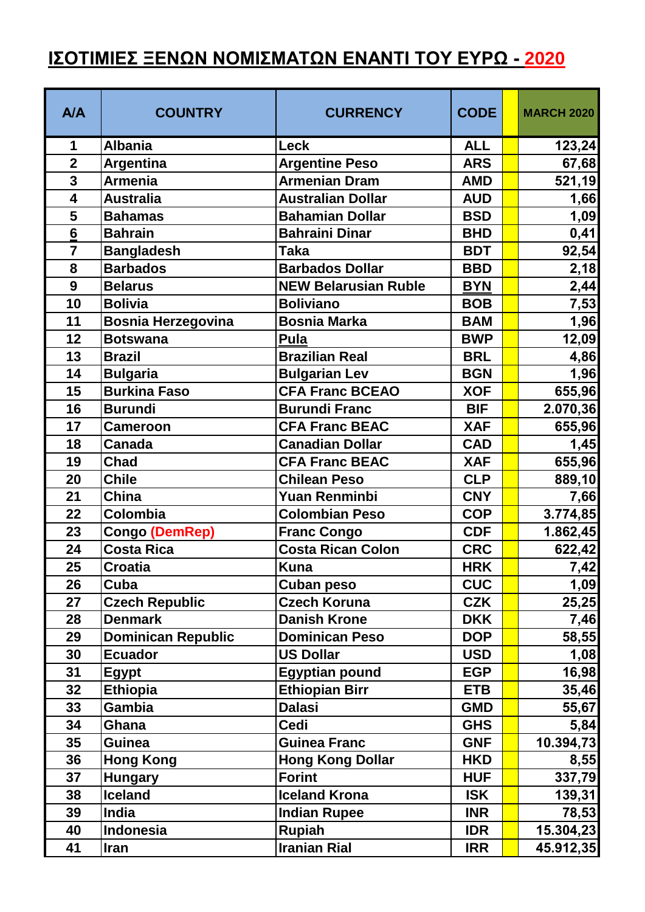## **ΙΣΟΤΙΜΙΕΣ ΞΕΝΩΝ ΝΟΜΙΣΜΑΤΩΝ ΕΝΑΝΤΙ ΤΟΥ ΕΥΡΩ - 2020**

| A/A                     | <b>COUNTRY</b>            | <b>CURRENCY</b>             | <b>CODE</b> | <b>MARCH 2020</b> |
|-------------------------|---------------------------|-----------------------------|-------------|-------------------|
| 1                       | <b>Albania</b>            | <b>Leck</b>                 | <b>ALL</b>  | 123,24            |
| $\overline{2}$          | <b>Argentina</b>          | <b>Argentine Peso</b>       | <b>ARS</b>  | 67,68             |
| 3                       | <b>Armenia</b>            | <b>Armenian Dram</b>        | <b>AMD</b>  | 521,19            |
| $\overline{\mathbf{4}}$ | <b>Australia</b>          | <b>Australian Dollar</b>    | <b>AUD</b>  | 1,66              |
| 5                       | <b>Bahamas</b>            | <b>Bahamian Dollar</b>      | <b>BSD</b>  | 1,09              |
| 6                       | <b>Bahrain</b>            | <b>Bahraini Dinar</b>       | <b>BHD</b>  | 0,41              |
| $\overline{7}$          | <b>Bangladesh</b>         | <b>Taka</b>                 | <b>BDT</b>  | 92,54             |
| 8                       | <b>Barbados</b>           | <b>Barbados Dollar</b>      | <b>BBD</b>  | 2,18              |
| 9                       | <b>Belarus</b>            | <b>NEW Belarusian Ruble</b> | <b>BYN</b>  | 2,44              |
| 10                      | <b>Bolivia</b>            | <b>Boliviano</b>            | <b>BOB</b>  | 7,53              |
| 11                      | <b>Bosnia Herzegovina</b> | <b>Bosnia Marka</b>         | <b>BAM</b>  | 1,96              |
| 12                      | <b>Botswana</b>           | <b>Pula</b>                 | <b>BWP</b>  | 12,09             |
| 13                      | <b>Brazil</b>             | <b>Brazilian Real</b>       | <b>BRL</b>  | 4,86              |
| 14                      | <b>Bulgaria</b>           | <b>Bulgarian Lev</b>        | <b>BGN</b>  | 1,96              |
| 15                      | <b>Burkina Faso</b>       | <b>CFA Franc BCEAO</b>      | <b>XOF</b>  | 655,96            |
| 16                      | <b>Burundi</b>            | <b>Burundi Franc</b>        | <b>BIF</b>  | 2.070,36          |
| 17                      | <b>Cameroon</b>           | <b>CFA Franc BEAC</b>       | <b>XAF</b>  | 655,96            |
| 18                      | Canada                    | <b>Canadian Dollar</b>      | <b>CAD</b>  | 1,45              |
| 19                      | <b>Chad</b>               | <b>CFA Franc BEAC</b>       | <b>XAF</b>  | 655,96            |
| 20                      | <b>Chile</b>              | <b>Chilean Peso</b>         | <b>CLP</b>  | 889,10            |
| 21                      | China                     | <b>Yuan Renminbi</b>        | <b>CNY</b>  | 7,66              |
| 22                      | Colombia                  | <b>Colombian Peso</b>       | <b>COP</b>  | 3.774,85          |
| 23                      | <b>Congo (DemRep)</b>     | <b>Franc Congo</b>          | <b>CDF</b>  | 1.862,45          |
| 24                      | <b>Costa Rica</b>         | <b>Costa Rican Colon</b>    | <b>CRC</b>  | 622,42            |
| 25                      | <b>Croatia</b>            | <b>Kuna</b>                 | <b>HRK</b>  | 7,42              |
| 26                      | Cuba                      | <b>Cuban peso</b>           | <b>CUC</b>  | 1,09              |
| 27                      | <b>Czech Republic</b>     | <b>Czech Koruna</b>         | <b>CZK</b>  | 25,25             |
| 28                      | <b>Denmark</b>            | <b>Danish Krone</b>         | <b>DKK</b>  | 7,46              |
| 29                      | <b>Dominican Republic</b> | <b>Dominican Peso</b>       | <b>DOP</b>  | 58,55             |
| 30                      | <b>Ecuador</b>            | <b>US Dollar</b>            | <b>USD</b>  | 1,08              |
| 31                      | <b>Egypt</b>              | <b>Egyptian pound</b>       | <b>EGP</b>  | 16,98             |
| 32                      | <b>Ethiopia</b>           | <b>Ethiopian Birr</b>       | <b>ETB</b>  | 35,46             |
| 33                      | Gambia                    | <b>Dalasi</b>               | <b>GMD</b>  | 55,67             |
| 34                      | Ghana                     | <b>Cedi</b>                 | <b>GHS</b>  | 5,84              |
| 35                      | Guinea                    | <b>Guinea Franc</b>         | <b>GNF</b>  | 10.394,73         |
| 36                      | <b>Hong Kong</b>          | <b>Hong Kong Dollar</b>     | <b>HKD</b>  | 8,55              |
| 37                      | <b>Hungary</b>            | <b>Forint</b>               | <b>HUF</b>  | 337,79            |
| 38                      | <b>Iceland</b>            | <b>Iceland Krona</b>        | <b>ISK</b>  | 139,31            |
| 39                      | India                     | <b>Indian Rupee</b>         | <b>INR</b>  | 78,53             |
| 40                      | Indonesia                 | <b>Rupiah</b>               | <b>IDR</b>  | 15.304,23         |
| 41                      | <b>Iran</b>               | <b>Iranian Rial</b>         | <b>IRR</b>  | 45.912,35         |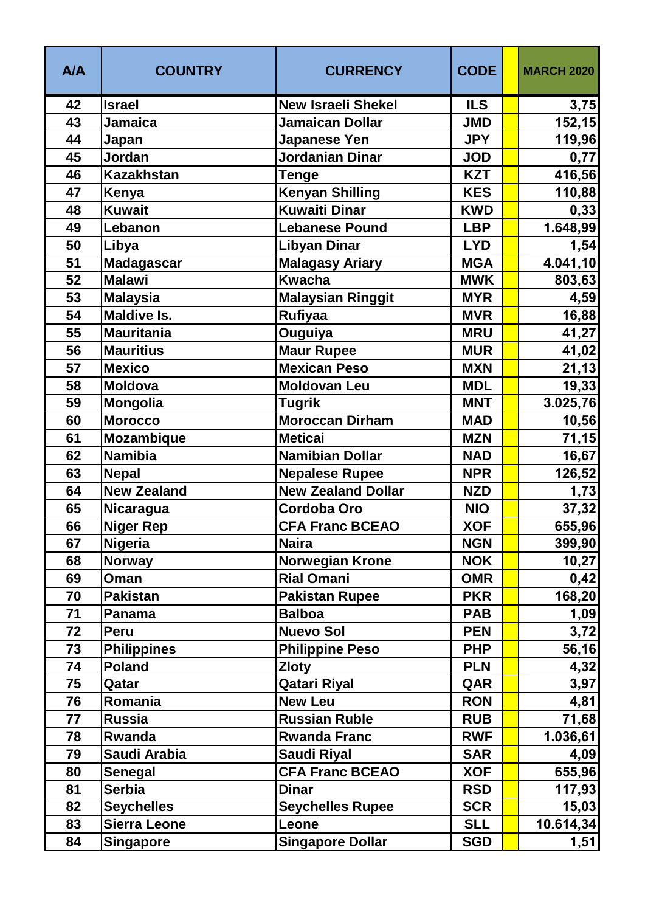| <b>A/A</b> | <b>COUNTRY</b>      | <b>CURRENCY</b>           | <b>CODE</b> | <b>MARCH 2020</b> |
|------------|---------------------|---------------------------|-------------|-------------------|
| 42         | <b>Israel</b>       | <b>New Israeli Shekel</b> | <b>ILS</b>  | 3,75              |
| 43         | <b>Jamaica</b>      | <b>Jamaican Dollar</b>    | <b>JMD</b>  | 152, 15           |
| 44         | Japan               | Japanese Yen              | <b>JPY</b>  | 119,96            |
| 45         | Jordan              | Jordanian Dinar           | <b>JOD</b>  | 0,77              |
| 46         | <b>Kazakhstan</b>   | <b>Tenge</b>              | <b>KZT</b>  | 416,56            |
| 47         | Kenya               | <b>Kenyan Shilling</b>    | <b>KES</b>  | 110,88            |
| 48         | <b>Kuwait</b>       | <b>Kuwaiti Dinar</b>      | <b>KWD</b>  | 0,33              |
| 49         | Lebanon             | <b>Lebanese Pound</b>     | <b>LBP</b>  | 1.648,99          |
| 50         | Libya               | Libyan Dinar              | <b>LYD</b>  | 1,54              |
| 51         | <b>Madagascar</b>   | <b>Malagasy Ariary</b>    | <b>MGA</b>  | 4.041,10          |
| 52         | <b>Malawi</b>       | <b>Kwacha</b>             | <b>MWK</b>  | 803,63            |
| 53         | <b>Malaysia</b>     | <b>Malaysian Ringgit</b>  | <b>MYR</b>  | 4,59              |
| 54         | <b>Maldive Is.</b>  | <b>Rufiyaa</b>            | <b>MVR</b>  | 16,88             |
| 55         | <b>Mauritania</b>   | Ouguiya                   | <b>MRU</b>  | 41,27             |
| 56         | <b>Mauritius</b>    | <b>Maur Rupee</b>         | <b>MUR</b>  | 41,02             |
| 57         | <b>Mexico</b>       | <b>Mexican Peso</b>       | <b>MXN</b>  | 21,13             |
| 58         | <b>Moldova</b>      | <b>Moldovan Leu</b>       | <b>MDL</b>  | 19,33             |
| 59         | <b>Mongolia</b>     | <b>Tugrik</b>             | <b>MNT</b>  | 3.025,76          |
| 60         | <b>Morocco</b>      | <b>Moroccan Dirham</b>    | <b>MAD</b>  | 10,56             |
| 61         | Mozambique          | <b>Meticai</b>            | <b>MZN</b>  | 71,15             |
| 62         | <b>Namibia</b>      | <b>Namibian Dollar</b>    | <b>NAD</b>  | 16,67             |
| 63         | <b>Nepal</b>        | <b>Nepalese Rupee</b>     | <b>NPR</b>  | 126,52            |
| 64         | <b>New Zealand</b>  | <b>New Zealand Dollar</b> | <b>NZD</b>  | 1,73              |
| 65         | Nicaragua           | <b>Cordoba Oro</b>        | <b>NIO</b>  | 37,32             |
| 66         | <b>Niger Rep</b>    | <b>CFA Franc BCEAO</b>    | <b>XOF</b>  | 655,96            |
| 67         | <b>Nigeria</b>      | <b>Naira</b>              | <b>NGN</b>  | 399,90            |
| 68         | <b>Norway</b>       | <b>Norwegian Krone</b>    | <b>NOK</b>  | 10,27             |
| 69         | Oman                | <b>Rial Omani</b>         | <b>OMR</b>  | 0,42              |
| 70         | <b>Pakistan</b>     | <b>Pakistan Rupee</b>     | <b>PKR</b>  | 168,20            |
| 71         | Panama              | <b>Balboa</b>             | <b>PAB</b>  | 1,09              |
| 72         | Peru                | <b>Nuevo Sol</b>          | <b>PEN</b>  | 3,72              |
| 73         | <b>Philippines</b>  | <b>Philippine Peso</b>    | <b>PHP</b>  | 56,16             |
| 74         | <b>Poland</b>       | <b>Zloty</b>              | <b>PLN</b>  | 4,32              |
| 75         | Qatar               | <b>Qatari Riyal</b>       | QAR         | 3,97              |
| 76         | Romania             | <b>New Leu</b>            | <b>RON</b>  | 4,81              |
| 77         | <b>Russia</b>       | <b>Russian Ruble</b>      | <b>RUB</b>  | 71,68             |
| 78         | Rwanda              | <b>Rwanda Franc</b>       | <b>RWF</b>  | 1.036, 61         |
| 79         | Saudi Arabia        | <b>Saudi Riyal</b>        | <b>SAR</b>  | 4,09              |
| 80         | <b>Senegal</b>      | <b>CFA Franc BCEAO</b>    | <b>XOF</b>  | 655,96            |
| 81         | <b>Serbia</b>       | <b>Dinar</b>              | <b>RSD</b>  | 117,93            |
| 82         | <b>Seychelles</b>   | <b>Seychelles Rupee</b>   | <b>SCR</b>  | 15,03             |
| 83         | <b>Sierra Leone</b> | Leone                     | <b>SLL</b>  | 10.614,34         |
| 84         | <b>Singapore</b>    | <b>Singapore Dollar</b>   | <b>SGD</b>  | 1,51              |